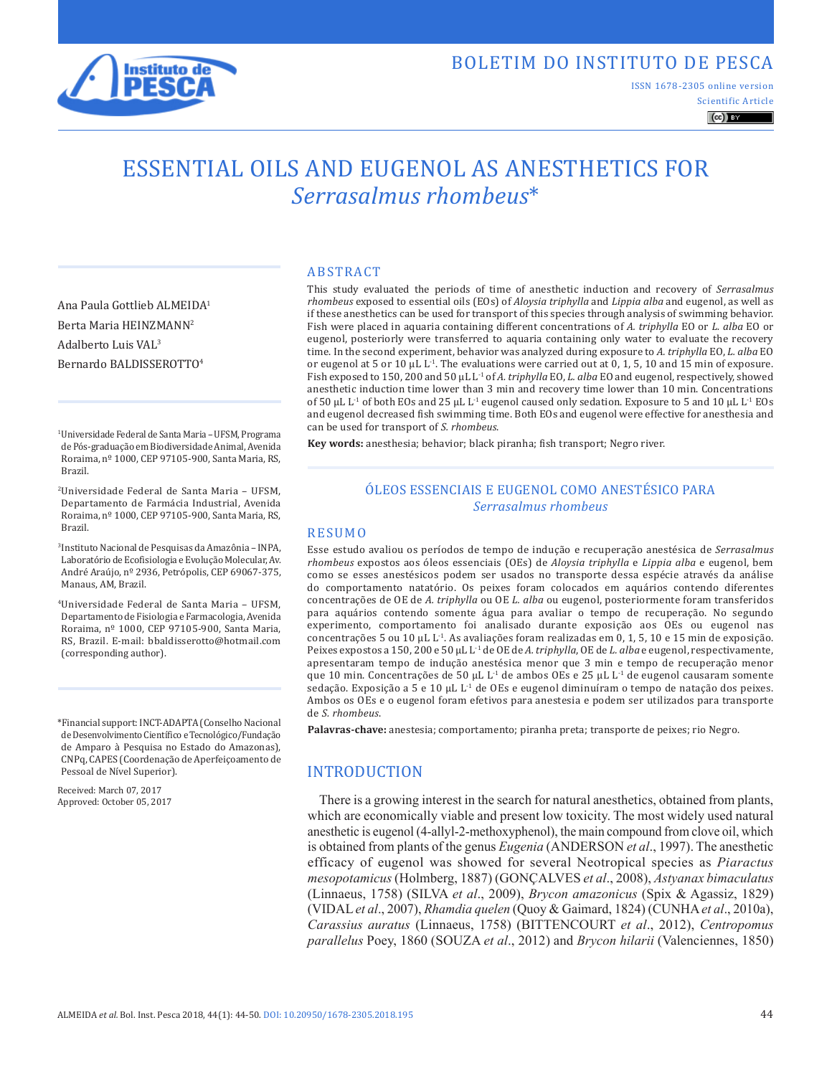

## BOLETIM DO INSTITUTO DE PESCA

ISSN 1678-2305 online version

Scientific Article  $\left(\mathrm{cc}\right)$  BY

# ESSENTIAL OILS AND EUGENOL AS ANESTHETICS FOR *Serrasalmus rhombeus*\*

ABSTRACT

Ana Paula Gottlieb ALMEIDA1 Berta Maria HEINZMANN2 Adalberto Luis VAL3 Bernardo BALDISSEROTTO4

1Universidade Federal de Santa Maria – UFSM, Programa de Pós-graduação em Biodiversidade Animal, Avenida Roraima, nº 1000, CEP 97105-900, Santa Maria, RS, Brazil.

2Universidade Federal de Santa Maria – UFSM, Departamento de Farmácia Industrial, Avenida Roraima, nº 1000, CEP 97105-900, Santa Maria, RS, Brazil.

3Instituto Nacional de Pesquisas da Amazônia – INPA, Laboratório de Ecofisiologia e Evolução Molecular, Av. André Araújo, nº 2936, Petrópolis, CEP 69067-375, Manaus, AM, Brazil.

4Universidade Federal de Santa Maria – UFSM, Departamento de Fisiologia e Farmacologia, Avenida Roraima, nº 1000, CEP 97105-900, Santa Maria, RS, Brazil. E-mail: bbaldisserotto@hotmail.com (corresponding author).

\*Financial support: INCT-ADAPTA (Conselho Nacional de Desenvolvimento Científico e Tecnológico/Fundação de Amparo à Pesquisa no Estado do Amazonas), CNPq, CAPES (Coordenação de Aperfeiçoamento de Pessoal de Nível Superior).

Received: March 07, 2017 Approved: October 05, 2017 *rhombeus* exposed to essential oils (EOs) of *Aloysia triphylla* and *Lippia alba* and eugenol, as well as if these anesthetics can be used for transport of this species through analysis of swimming behavior. Fish were placed in aquaria containing different concentrations of *A. triphylla* EO or *L. alba* EO or eugenol, posteriorly were transferred to aquaria containing only water to evaluate the recovery time. In the second experiment, behavior was analyzed during exposure to *A. triphylla* EO, *L. alba* EO or eugenol at 5 or 10 µL L-1. The evaluations were carried out at 0, 1, 5, 10 and 15 min of exposure. Fish exposed to 150, 200 and 50 µL L-1 of *A. triphylla* EO, *L. alba* EO and eugenol, respectively, showed anesthetic induction time lower than 3 min and recovery time lower than 10 min. Concentrations of 50  $\mu$ L L<sup>-1</sup> of both EOs and 25  $\mu$ L L<sup>-1</sup> eugenol caused only sedation. Exposure to 5 and 10  $\mu$ L L<sup>-1</sup> EOs and eugenol decreased fish swimming time. Both EOs and eugenol were effective for anesthesia and can be used for transport of *S. rhombeus*.

This study evaluated the periods of time of anesthetic induction and recovery of *Serrasalmus* 

**Key words:** anesthesia; behavior; black piranha; fish transport; Negro river.

## ÓLEOS ESSENCIAIS E EUGENOL COMO ANESTÉSICO PARA *Serrasalmus rhombeus*

#### RESUMO

Esse estudo avaliou os períodos de tempo de indução e recuperação anestésica de *Serrasalmus rhombeus* expostos aos óleos essenciais (OEs) de *Aloysia triphylla* e *Lippia alba* e eugenol, bem como se esses anestésicos podem ser usados no transporte dessa espécie através da análise do comportamento natatório. Os peixes foram colocados em aquários contendo diferentes concentrações de OE de *A. triphylla* ou OE *L. alba* ou eugenol, posteriormente foram transferidos para aquários contendo somente água para avaliar o tempo de recuperação. No segundo experimento, comportamento foi analisado durante exposição aos OEs ou eugenol nas concentrações 5 ou 10 µL  $L^{-1}$ . As avaliações foram realizadas em 0, 1, 5, 10 e 15 min de exposição. Peixes expostos a 150, 200 e 50 µL L-1 de OE de *A. triphylla*, OE de *L. alba* e eugenol, respectivamente, apresentaram tempo de indução anestésica menor que 3 min e tempo de recuperação menor que 10 min. Concentrações de 50 µL L<sup>-1</sup> de ambos OEs e 25 µL L<sup>-1</sup> de eugenol causaram somente sedação. Exposição a 5 e 10  $\mu$ L L<sup>-1</sup> de OEs e eugenol diminuíram o tempo de natação dos peixes. Ambos os OEs e o eugenol foram efetivos para anestesia e podem ser utilizados para transporte de *S. rhombeus*.

**Palavras-chave:** anestesia; comportamento; piranha preta; transporte de peixes; rio Negro.

#### INTRODUCTION

There is a growing interest in the search for natural anesthetics, obtained from plants, which are economically viable and present low toxicity. The most widely used natural anesthetic is eugenol (4-allyl-2-methoxyphenol), the main compound from clove oil, which is obtained from plants of the genus *Eugenia* (ANDERSON *et al*., 1997). The anesthetic efficacy of eugenol was showed for several Neotropical species as *Piaractus mesopotamicus* (Holmberg, 1887) (GONÇALVES *et al*., 2008), *Astyanax bimaculatus* (Linnaeus, 1758) (SILVA *et al*., 2009), *Brycon amazonicus* (Spix & Agassiz, 1829) (VIDAL *et al*., 2007), *Rhamdia quelen* (Quoy & Gaimard, 1824) (CUNHA*et al*., 2010a), *Carassius auratus* (Linnaeus, 1758) (BITTENCOURT *et al*., 2012), *Centropomus parallelus* Poey, 1860 (SOUZA *et al*., 2012) and *Brycon hilarii* (Valenciennes, 1850)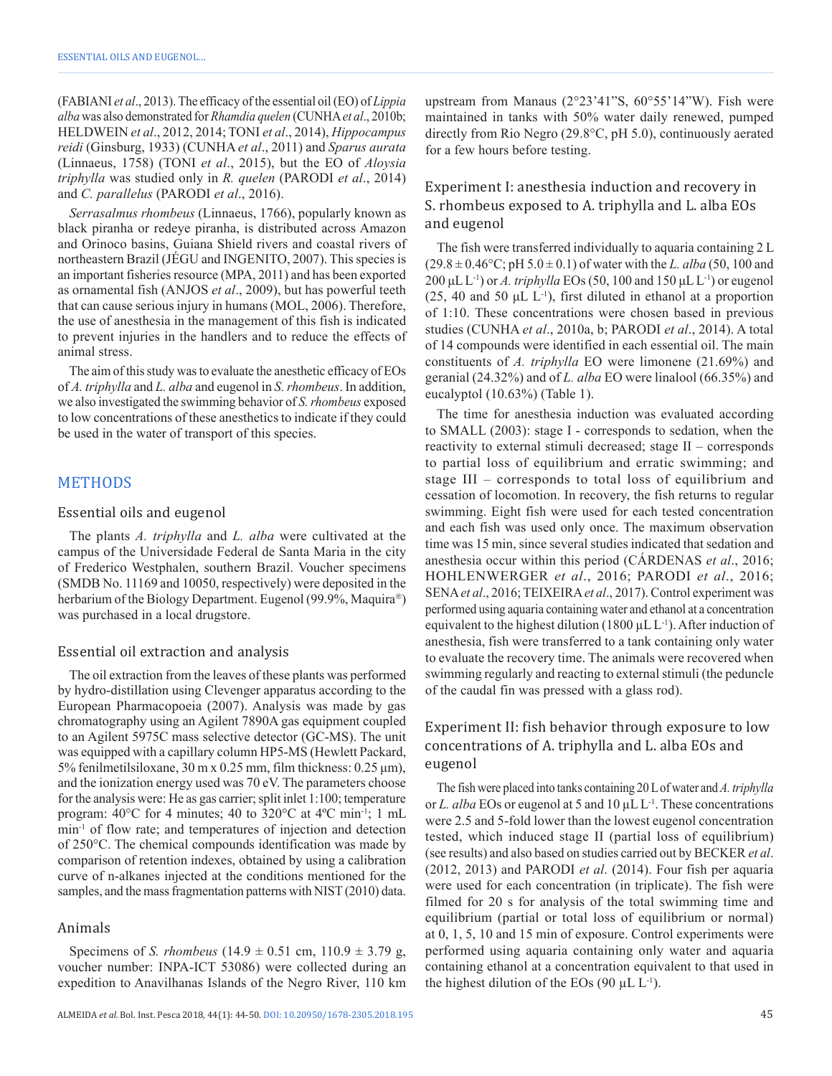(FABIANI *et al*., 2013). The efficacy of the essential oil (EO) of *Lippia alba* was also demonstrated for *Rhamdia quelen* (CUNHA*et al*., 2010b; HELDWEIN *et al*., 2012, 2014; TONI *et al*., 2014), *Hippocampus reidi* (Ginsburg, 1933) (CUNHA *et al*., 2011) and *Sparus aurata* (Linnaeus, 1758) (TONI *et al*., 2015), but the EO of *Aloysia triphylla* was studied only in *R. quelen* (PARODI *et al*., 2014) and *C. parallelus* (PARODI *et al*., 2016).

*Serrasalmus rhombeus* (Linnaeus, 1766), popularly known as black piranha or redeye piranha, is distributed across Amazon and Orinoco basins, Guiana Shield rivers and coastal rivers of northeastern Brazil (JÉGU and INGENITO, 2007). This species is an important fisheries resource (MPA, 2011) and has been exported as ornamental fish (ANJOS *et al*., 2009), but has powerful teeth that can cause serious injury in humans (MOL, 2006). Therefore, the use of anesthesia in the management of this fish is indicated to prevent injuries in the handlers and to reduce the effects of animal stress.

The aim of this study was to evaluate the anesthetic efficacy of EOs of *A. triphylla* and *L. alba* and eugenol in *S. rhombeus*. In addition, we also investigated the swimming behavior of *S. rhombeus* exposed to low concentrations of these anesthetics to indicate if they could be used in the water of transport of this species.

#### METHODS

#### Essential oils and eugenol

The plants *A. triphylla* and *L. alba* were cultivated at the campus of the Universidade Federal de Santa Maria in the city of Frederico Westphalen, southern Brazil. Voucher specimens (SMDB No. 11169 and 10050, respectively) were deposited in the herbarium of the Biology Department. Eugenol (99.9%, Maquira®) was purchased in a local drugstore.

#### Essential oil extraction and analysis

The oil extraction from the leaves of these plants was performed by hydro-distillation using Clevenger apparatus according to the European Pharmacopoeia (2007). Analysis was made by gas chromatography using an Agilent 7890A gas equipment coupled to an Agilent 5975C mass selective detector (GC-MS). The unit was equipped with a capillary column HP5-MS (Hewlett Packard, 5% fenilmetilsiloxane, 30 m x 0.25 mm, film thickness: 0.25 μm), and the ionization energy used was 70 eV. The parameters choose for the analysis were: He as gas carrier; split inlet 1:100; temperature program: 40°C for 4 minutes; 40 to 320°C at 4ºC min-1; 1 mL min-1 of flow rate; and temperatures of injection and detection of 250°C. The chemical compounds identification was made by comparison of retention indexes, obtained by using a calibration curve of n-alkanes injected at the conditions mentioned for the samples, and the mass fragmentation patterns with NIST (2010) data.

#### Animals

Specimens of *S. rhombeus* (14.9  $\pm$  0.51 cm, 110.9  $\pm$  3.79 g, voucher number: INPA-ICT 53086) were collected during an expedition to Anavilhanas Islands of the Negro River, 110 km upstream from Manaus (2°23'41"S, 60°55'14"W). Fish were maintained in tanks with 50% water daily renewed, pumped directly from Rio Negro (29.8°C, pH 5.0), continuously aerated for a few hours before testing.

## Experiment I: anesthesia induction and recovery in S. rhombeus exposed to A. triphylla and L. alba EOs and eugenol

The fish were transferred individually to aquaria containing 2 L  $(29.8 \pm 0.46^{\circ}\text{C}; \text{pH } 5.0 \pm 0.1)$  of water with the *L. alba* (50, 100 and 200 μL L-1) or *A. triphylla* EOs (50, 100 and 150 μL L-1) or eugenol  $(25, 40, 50, 40, 12)$ , first diluted in ethanol at a proportion of 1:10. These concentrations were chosen based in previous studies (CUNHA *et al*., 2010a, b; PARODI *et al*., 2014). A total of 14 compounds were identified in each essential oil. The main constituents of *A. triphylla* EO were limonene (21.69%) and geranial (24.32%) and of *L. alba* EO were linalool (66.35%) and eucalyptol (10.63%) (Table 1).

The time for anesthesia induction was evaluated according to SMALL (2003): stage I - corresponds to sedation, when the reactivity to external stimuli decreased; stage II – corresponds to partial loss of equilibrium and erratic swimming; and stage III – corresponds to total loss of equilibrium and cessation of locomotion. In recovery, the fish returns to regular swimming. Eight fish were used for each tested concentration and each fish was used only once. The maximum observation time was 15 min, since several studies indicated that sedation and anesthesia occur within this period (CÁRDENAS *et al*., 2016; HOHLENWERGER *et al*., 2016; PARODI *et al*., 2016; SENA*et al*., 2016; TEIXEIRA*et al*., 2017). Control experiment was performed using aquaria containing water and ethanol at a concentration equivalent to the highest dilution (1800  $\mu$ L L<sup>-1</sup>). After induction of anesthesia, fish were transferred to a tank containing only water to evaluate the recovery time. The animals were recovered when swimming regularly and reacting to external stimuli (the peduncle of the caudal fin was pressed with a glass rod).

## Experiment II: fish behavior through exposure to low concentrations of A. triphylla and L. alba EOs and eugenol

The fish were placed into tanks containing 20 L of water and *A. triphylla* or *L. alba* EOs or eugenol at 5 and 10  $\mu$ L L<sup>-1</sup>. These concentrations were 2.5 and 5-fold lower than the lowest eugenol concentration tested, which induced stage II (partial loss of equilibrium) (see results) and also based on studies carried out by BECKER *et al*. (2012, 2013) and PARODI *et al*. (2014). Four fish per aquaria were used for each concentration (in triplicate). The fish were filmed for 20 s for analysis of the total swimming time and equilibrium (partial or total loss of equilibrium or normal) at 0, 1, 5, 10 and 15 min of exposure. Control experiments were performed using aquaria containing only water and aquaria containing ethanol at a concentration equivalent to that used in the highest dilution of the EOs  $(90 \mu L L^{-1})$ .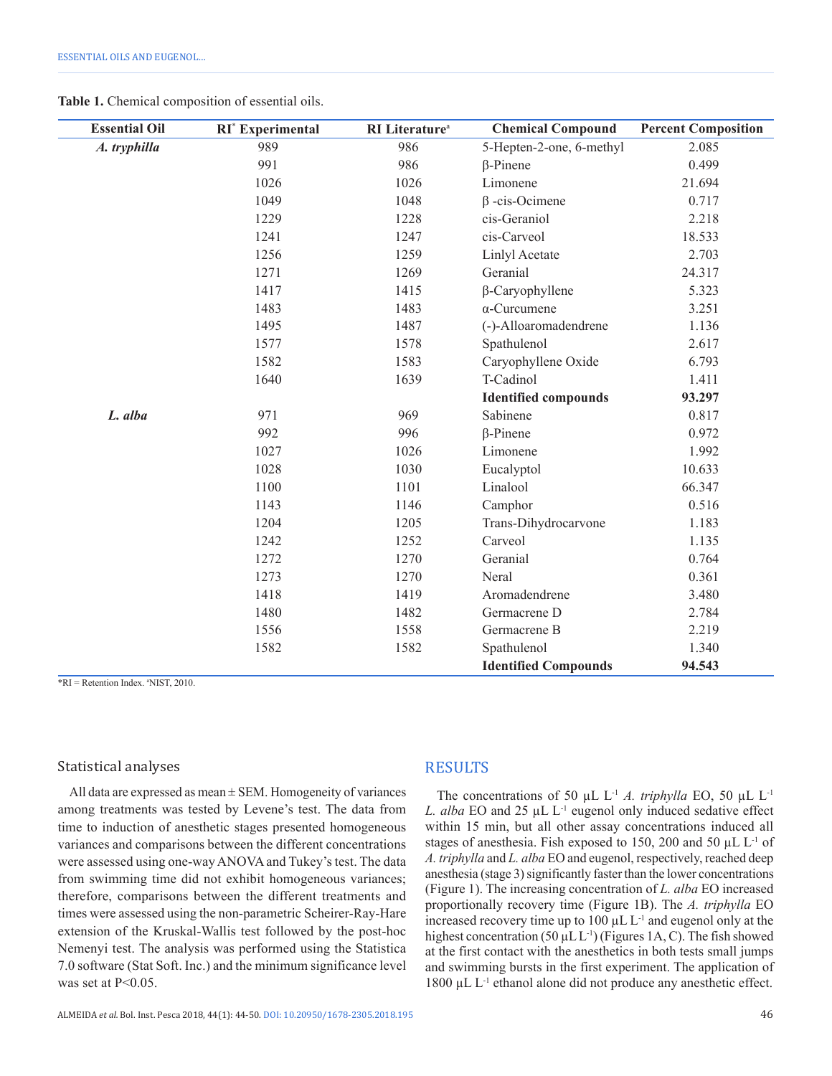**Table 1.** Chemical composition of essential oils.

| <b>Essential Oil</b> | RI <sup>*</sup> Experimental | RI Literature <sup>a</sup> | <b>Chemical Compound</b>    | <b>Percent Composition</b> |
|----------------------|------------------------------|----------------------------|-----------------------------|----------------------------|
| A. tryphilla         | 989                          | 986                        | 5-Hepten-2-one, 6-methyl    | 2.085                      |
|                      | 991                          | 986                        | $\beta$ -Pinene             | 0.499                      |
|                      | 1026                         | 1026                       | Limonene                    | 21.694                     |
|                      | 1049                         | 1048                       | $\beta$ -cis-Ocimene        | 0.717                      |
|                      | 1229                         | 1228                       | cis-Geraniol                | 2.218                      |
|                      | 1241                         | 1247                       | cis-Carveol                 | 18.533                     |
|                      | 1256                         | 1259                       | Linlyl Acetate              | 2.703                      |
|                      | 1271                         | 1269                       | Geranial                    | 24.317                     |
|                      | 1417                         | 1415                       | $\beta$ -Caryophyllene      | 5.323                      |
|                      | 1483                         | 1483                       | $\alpha$ -Curcumene         | 3.251                      |
|                      | 1495                         | 1487                       | (-)-Alloaromadendrene       | 1.136                      |
|                      | 1577                         | 1578                       | Spathulenol                 | 2.617                      |
|                      | 1582                         | 1583                       | Caryophyllene Oxide         | 6.793                      |
|                      | 1640                         | 1639                       | T-Cadinol                   | 1.411                      |
|                      |                              |                            | <b>Identified compounds</b> | 93.297                     |
| L. alba              | 971                          | 969                        | Sabinene                    | 0.817                      |
|                      | 992                          | 996                        | $\beta$ -Pinene             | 0.972                      |
|                      | 1027                         | 1026                       | Limonene                    | 1.992                      |
|                      | 1028                         | 1030                       | Eucalyptol                  | 10.633                     |
|                      | 1100                         | 1101                       | Linalool                    | 66.347                     |
|                      | 1143                         | 1146                       | Camphor                     | 0.516                      |
|                      | 1204                         | 1205                       | Trans-Dihydrocarvone        | 1.183                      |
|                      | 1242                         | 1252                       | Carveol                     | 1.135                      |
|                      | 1272                         | 1270                       | Geranial                    | 0.764                      |
|                      | 1273                         | 1270                       | Neral                       | 0.361                      |
|                      | 1418                         | 1419                       | Aromadendrene               | 3.480                      |
|                      | 1480                         | 1482                       | Germacrene D                | 2.784                      |
|                      | 1556                         | 1558                       | Germacrene B                | 2.219                      |
|                      | 1582                         | 1582                       | Spathulenol                 | 1.340                      |
|                      |                              |                            | <b>Identified Compounds</b> | 94.543                     |

\*RI = Retention Index. a NIST, 2010.

#### Statistical analyses

All data are expressed as mean  $\pm$  SEM. Homogeneity of variances among treatments was tested by Levene's test. The data from time to induction of anesthetic stages presented homogeneous variances and comparisons between the different concentrations were assessed using one-way ANOVA and Tukey's test. The data from swimming time did not exhibit homogeneous variances; therefore, comparisons between the different treatments and times were assessed using the non-parametric Scheirer-Ray-Hare extension of the Kruskal-Wallis test followed by the post-hoc Nemenyi test. The analysis was performed using the Statistica 7.0 software (Stat Soft. Inc.) and the minimum significance level was set at  $P \leq 0.05$ .

#### **RESULTS**

The concentrations of 50  $\mu$ L L<sup>-1</sup> *A. triphylla* EO, 50  $\mu$ L L<sup>-1</sup> *L. alba* EO and 25 µL L-1 eugenol only induced sedative effect within 15 min, but all other assay concentrations induced all stages of anesthesia. Fish exposed to 150, 200 and 50  $\mu$ L L<sup>-1</sup> of *A. triphylla* and *L. alba* EO and eugenol, respectively, reached deep anesthesia (stage 3) significantly faster than the lower concentrations (Figure 1). The increasing concentration of *L. alba* EO increased proportionally recovery time (Figure 1B). The *A. triphylla* EO increased recovery time up to  $100 \mu L L^{-1}$  and eugenol only at the highest concentration (50  $\mu$ L L<sup>-1</sup>) (Figures 1A, C). The fish showed at the first contact with the anesthetics in both tests small jumps and swimming bursts in the first experiment. The application of 1800 µL L-1 ethanol alone did not produce any anesthetic effect.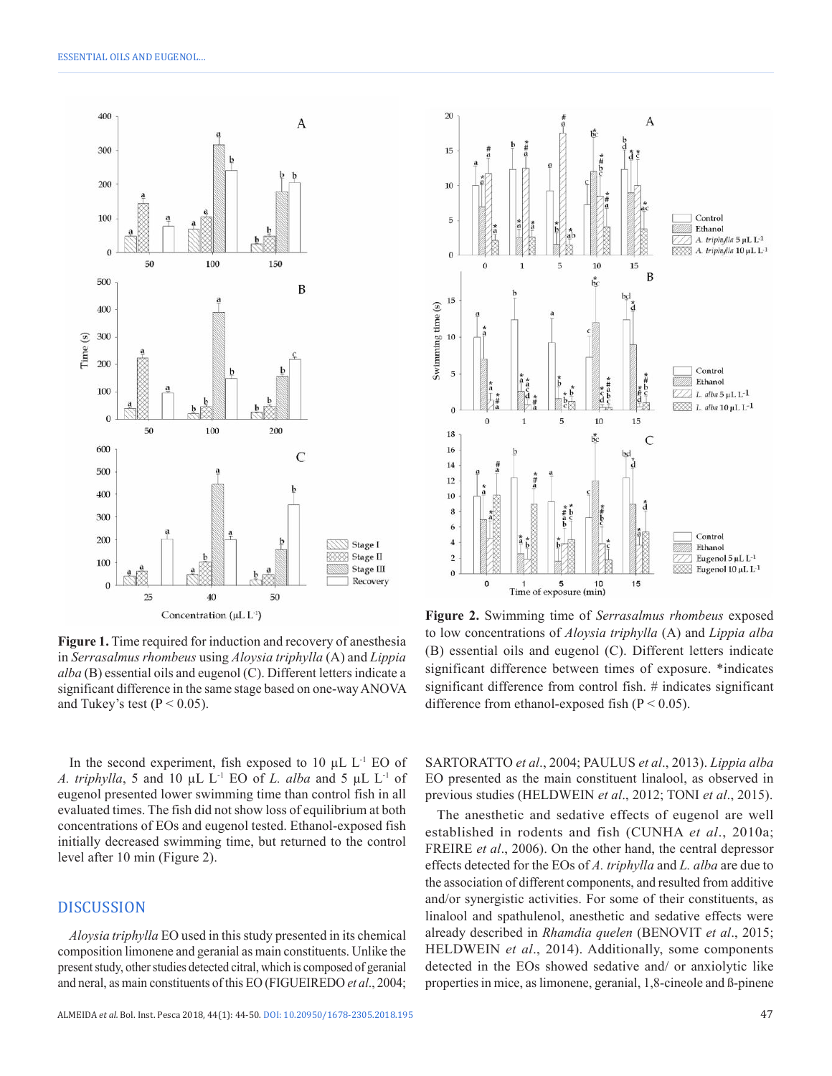

**Figure 1.** Time required for induction and recovery of anesthesia in *Serrasalmus rhombeus* using *Aloysia triphylla* (A) and *Lippia alba* (B) essential oils and eugenol (C). Different letters indicate a significant difference in the same stage based on one-way ANOVA and Tukey's test ( $P < 0.05$ ).

In the second experiment, fish exposed to  $10 \mu L L^{-1}$  EO of *A. triphylla*, 5 and 10 µL L-1 EO of *L. alba* and 5 µL L-1 of eugenol presented lower swimming time than control fish in all evaluated times. The fish did not show loss of equilibrium at both concentrations of EOs and eugenol tested. Ethanol-exposed fish initially decreased swimming time, but returned to the control level after 10 min (Figure 2).

#### DISCUSSION

*Aloysia triphylla* EO used in this study presented in its chemical composition limonene and geranial as main constituents. Unlike the present study, other studies detected citral, which is composed of geranial and neral, as main constituents of this EO (FIGUEIREDO *et al*., 2004;



**Figure 2.** Swimming time of *Serrasalmus rhombeus* exposed to low concentrations of *Aloysia triphylla* (A) and *Lippia alba* (B) essential oils and eugenol (C). Different letters indicate significant difference between times of exposure. \*indicates significant difference from control fish. # indicates significant difference from ethanol-exposed fish  $(P < 0.05)$ .

SARTORATTO *et al*., 2004; PAULUS *et al*., 2013). *Lippia alba* EO presented as the main constituent linalool, as observed in previous studies (HELDWEIN *et al*., 2012; TONI *et al*., 2015).

The anesthetic and sedative effects of eugenol are well established in rodents and fish (CUNHA *et al*., 2010a; FREIRE *et al*., 2006). On the other hand, the central depressor effects detected for the EOs of *A. triphylla* and *L. alba* are due to the association of different components, and resulted from additive and/or synergistic activities. For some of their constituents, as linalool and spathulenol, anesthetic and sedative effects were already described in *Rhamdia quelen* (BENOVIT *et al*., 2015; HELDWEIN *et al*., 2014). Additionally, some components detected in the EOs showed sedative and/ or anxiolytic like properties in mice, as limonene, geranial, 1,8-cineole and ß-pinene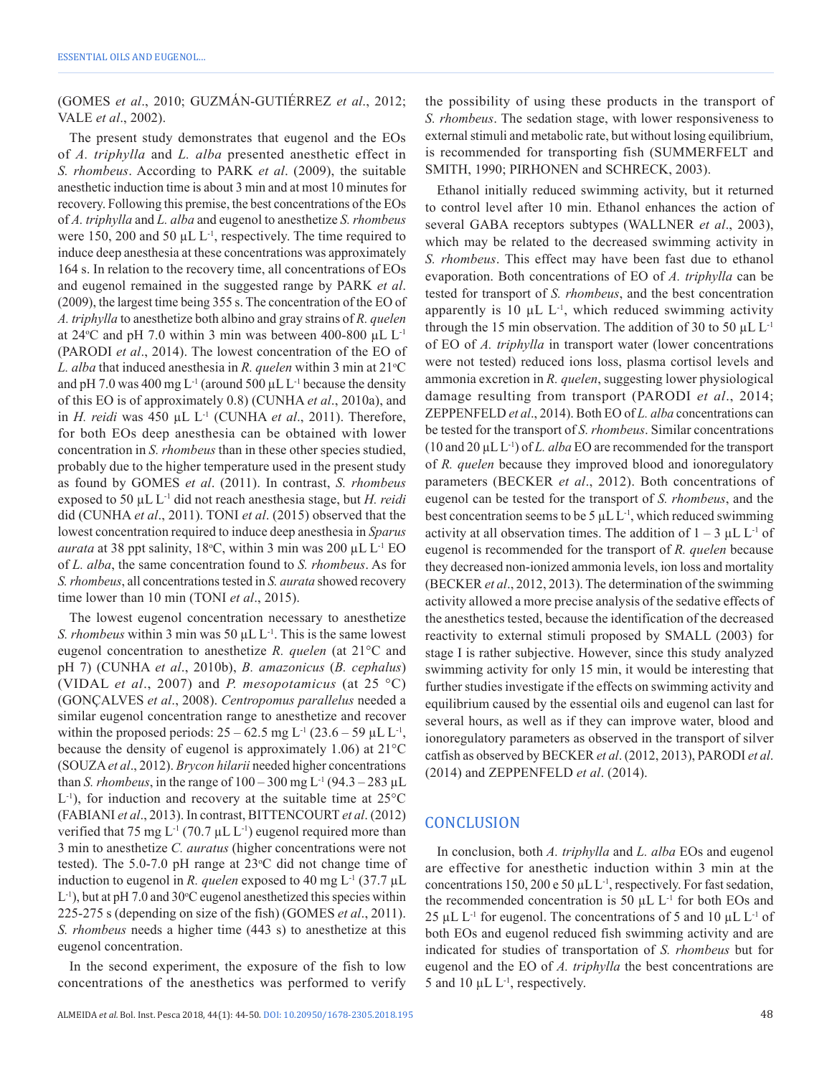(GOMES *et al*., 2010; GUZMÁN-GUTIÉRREZ *et al*., 2012; VALE *et al*., 2002).

The present study demonstrates that eugenol and the EOs of *A. triphylla* and *L. alba* presented anesthetic effect in *S. rhombeus*. According to PARK *et al*. (2009), the suitable anesthetic induction time is about 3 min and at most 10 minutes for recovery. Following this premise, the best concentrations of the EOs of *A. triphylla* and *L. alba* and eugenol to anesthetize *S. rhombeus* were 150, 200 and 50  $\mu$ L L<sup>-1</sup>, respectively. The time required to induce deep anesthesia at these concentrations was approximately 164 s. In relation to the recovery time, all concentrations of EOs and eugenol remained in the suggested range by PARK *et al*. (2009), the largest time being 355 s. The concentration of the EO of *A. triphylla* to anesthetize both albino and gray strains of *R. quelen* at 24 $\degree$ C and pH 7.0 within 3 min was between 400-800 µL L<sup>-1</sup> (PARODI *et al*., 2014). The lowest concentration of the EO of *L. alba* that induced anesthesia in *R. quelen* within 3 min at  $21^{\circ}$ C and pH 7.0 was 400 mg  $L^{-1}$  (around 500  $\mu$ L  $L^{-1}$  because the density of this EO is of approximately 0.8) (CUNHA *et al*., 2010a), and in *H. reidi* was 450 µL L-1 (CUNHA *et al*., 2011). Therefore, for both EOs deep anesthesia can be obtained with lower concentration in *S. rhombeus* than in these other species studied, probably due to the higher temperature used in the present study as found by GOMES *et al*. (2011). In contrast, *S. rhombeus* exposed to 50 µL L-1 did not reach anesthesia stage, but *H. reidi* did (CUNHA *et al*., 2011). TONI *et al*. (2015) observed that the lowest concentration required to induce deep anesthesia in *Sparus aurata* at 38 ppt salinity,  $18^{\circ}$ C, within 3 min was 200  $\mu$ L L<sup>-1</sup> EO of *L. alba*, the same concentration found to *S. rhombeus*. As for *S. rhombeus*, all concentrations tested in *S. aurata* showed recovery time lower than 10 min (TONI *et al*., 2015).

The lowest eugenol concentration necessary to anesthetize *S. rhombeus* within 3 min was 50  $\mu$ L L<sup>-1</sup>. This is the same lowest eugenol concentration to anesthetize *R. quelen* (at 21°C and pH 7) (CUNHA *et al*., 2010b), *B. amazonicus* (*B. cephalus*) (VIDAL *et al*., 2007) and *P. mesopotamicus* (at 25 °C) (GONÇALVES *et al*., 2008). *Centropomus parallelus* needed a similar eugenol concentration range to anesthetize and recover within the proposed periods:  $25 - 62.5$  mg L<sup>-1</sup> (23.6 – 59 µL L<sup>-1</sup>, because the density of eugenol is approximately 1.06) at 21°C (SOUZA*et al*., 2012). *Brycon hilarii* needed higher concentrations than *S. rhombeus*, in the range of  $100 - 300$  mg L<sup>-1</sup> (94.3 – 283 µL  $L^{-1}$ ), for induction and recovery at the suitable time at  $25^{\circ}$ C (FABIANI *et al*., 2013). In contrast, BITTENCOURT *et al*. (2012) verified that 75 mg  $L^{-1}$  (70.7 µL  $L^{-1}$ ) eugenol required more than 3 min to anesthetize *C. auratus* (higher concentrations were not tested). The  $5.0$ -7.0 pH range at  $23^{\circ}$ C did not change time of induction to eugenol in *R. quelen* exposed to 40 mg  $L^{-1}$  (37.7 µL  $L^{-1}$ ), but at pH 7.0 and 30 °C eugenol anesthetized this species within 225-275 s (depending on size of the fish) (GOMES *et al*., 2011). *S. rhombeus* needs a higher time (443 s) to anesthetize at this eugenol concentration.

In the second experiment, the exposure of the fish to low concentrations of the anesthetics was performed to verify the possibility of using these products in the transport of *S. rhombeus*. The sedation stage, with lower responsiveness to external stimuli and metabolic rate, but without losing equilibrium, is recommended for transporting fish (SUMMERFELT and SMITH, 1990; PIRHONEN and SCHRECK, 2003).

Ethanol initially reduced swimming activity, but it returned to control level after 10 min. Ethanol enhances the action of several GABA receptors subtypes (WALLNER *et al*., 2003), which may be related to the decreased swimming activity in *S. rhombeus*. This effect may have been fast due to ethanol evaporation. Both concentrations of EO of *A. triphylla* can be tested for transport of *S. rhombeus*, and the best concentration apparently is 10  $\mu$ L L<sup>1</sup>, which reduced swimming activity through the 15 min observation. The addition of 30 to 50  $\mu$ L L<sup>-1</sup> of EO of *A. triphylla* in transport water (lower concentrations were not tested) reduced ions loss, plasma cortisol levels and ammonia excretion in *R. quelen*, suggesting lower physiological damage resulting from transport (PARODI *et al*., 2014; ZEPPENFELD *et al*., 2014). Both EO of *L. alba* concentrations can be tested for the transport of *S. rhombeus*. Similar concentrations (10 and 20 µL L-1) of *L. alba* EO are recommended for the transport of *R. quelen* because they improved blood and ionoregulatory parameters (BECKER *et al*., 2012). Both concentrations of eugenol can be tested for the transport of *S. rhombeus*, and the best concentration seems to be 5  $\mu$ L L<sup>-1</sup>, which reduced swimming activity at all observation times. The addition of  $1 - 3 \mu L L^{-1}$  of eugenol is recommended for the transport of *R. quelen* because they decreased non-ionized ammonia levels, ion loss and mortality (BECKER *et al*., 2012, 2013). The determination of the swimming activity allowed a more precise analysis of the sedative effects of the anesthetics tested, because the identification of the decreased reactivity to external stimuli proposed by SMALL (2003) for stage I is rather subjective. However, since this study analyzed swimming activity for only 15 min, it would be interesting that further studies investigate if the effects on swimming activity and equilibrium caused by the essential oils and eugenol can last for several hours, as well as if they can improve water, blood and ionoregulatory parameters as observed in the transport of silver catfish as observed by BECKER *et al*. (2012, 2013), PARODI *et al*. (2014) and ZEPPENFELD *et al*. (2014).

#### **CONCLUSION**

In conclusion, both *A. triphylla* and *L. alba* EOs and eugenol are effective for anesthetic induction within 3 min at the concentrations 150, 200 e 50  $\mu$ L L<sup>-1</sup>, respectively. For fast sedation, the recommended concentration is 50  $\mu$ L L<sup>-1</sup> for both EOs and 25 µL L<sup>-1</sup> for eugenol. The concentrations of 5 and 10 µL L<sup>-1</sup> of both EOs and eugenol reduced fish swimming activity and are indicated for studies of transportation of *S. rhombeus* but for eugenol and the EO of *A. triphylla* the best concentrations are 5 and 10  $\mu$ L L<sup>-1</sup>, respectively.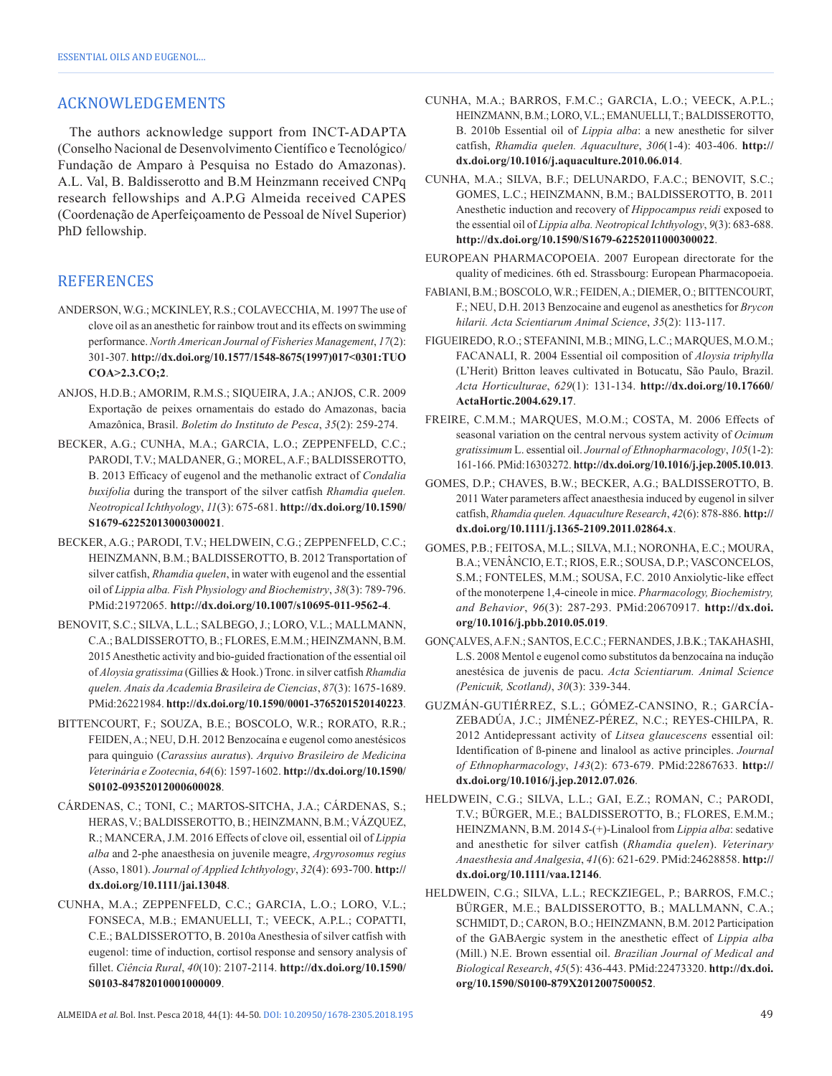## ACKNOWLEDGEMENTS

The authors acknowledge support from INCT-ADAPTA (Conselho Nacional de Desenvolvimento Científico e Tecnológico/ Fundação de Amparo à Pesquisa no Estado do Amazonas). A.L. Val, B. Baldisserotto and B.M Heinzmann received CNPq research fellowships and A.P.G Almeida received CAPES (Coordenação de Aperfeiçoamento de Pessoal de Nível Superior) PhD fellowship.

## **REFERENCES**

- ANDERSON, W.G.; MCKINLEY, R.S.; COLAVECCHIA, M. 1997 The use of clove oil as an anesthetic for rainbow trout and its effects on swimming performance. *North American Journal of Fisheries Management*, *17*(2): 301-307. **[http://dx.doi.org/10.1577/1548-8675\(1997\)017<0301:TUO](http://dx.doi.org/10.1577/1548-8675(1997)017%3c0301:TUOCOA%3e2.3.CO;2) [COA>2.3.CO;2](http://dx.doi.org/10.1577/1548-8675(1997)017%3c0301:TUOCOA%3e2.3.CO;2)**.
- ANJOS, H.D.B.; AMORIM, R.M.S.; SIQUEIRA, J.A.; ANJOS, C.R. 2009 Exportação de peixes ornamentais do estado do Amazonas, bacia Amazônica, Brasil. *Boletim do Instituto de Pesca*, *35*(2): 259-274.
- BECKER, A.G.; CUNHA, M.A.; GARCIA, L.O.; ZEPPENFELD, C.C.; PARODI, T.V.; MALDANER, G.; MOREL, A.F.; BALDISSEROTTO, B. 2013 Efficacy of eugenol and the methanolic extract of *Condalia buxifolia* during the transport of the silver catfish *Rhamdia quelen. Neotropical Ichthyology*, *11*(3): 675-681. **[http://dx.doi.org/10.1590/](http://dx.doi.org/10.1590/S1679-62252013000300021) [S1679-62252013000300021](http://dx.doi.org/10.1590/S1679-62252013000300021)**.
- BECKER, A.G.; PARODI, T.V.; HELDWEIN, C.G.; ZEPPENFELD, C.C.; HEINZMANN, B.M.; BALDISSEROTTO, B. 2012 Transportation of silver catfish, *Rhamdia quelen*, in water with eugenol and the essential oil of *Lippia alba. Fish Physiology and Biochemistry*, *38*(3): 789-796. [PMid:21972065.](http://www.ncbi.nlm.nih.gov/entrez/query.fcgi?cmd=Retrieve&db=PubMed&list_uids=21972065&dopt=Abstract) **<http://dx.doi.org/10.1007/s10695-011-9562-4>**.
- BENOVIT, S.C.; SILVA, L.L.; SALBEGO, J.; LORO, V.L.; MALLMANN, C.A.; BALDISSEROTTO, B.; FLORES, E.M.M.; HEINZMANN, B.M. 2015 Anesthetic activity and bio-guided fractionation of the essential oil of *Aloysia gratissima* (Gillies & Hook.) Tronc. in silver catfish *Rhamdia quelen. Anais da Academia Brasileira de Ciencias*, *87*(3): 1675-1689. [PMid:26221984.](http://www.ncbi.nlm.nih.gov/entrez/query.fcgi?cmd=Retrieve&db=PubMed&list_uids=26221984&dopt=Abstract) **<http://dx.doi.org/10.1590/0001-3765201520140223>**.
- BITTENCOURT, F.; SOUZA, B.E.; BOSCOLO, W.R.; RORATO, R.R.; FEIDEN, A.; NEU, D.H. 2012 Benzocaína e eugenol como anestésicos para quinguio (*Carassius auratus*). *Arquivo Brasileiro de Medicina Veterinária e Zootecnia*, *64*(6): 1597-1602. **[http://dx.doi.org/10.1590/](http://dx.doi.org/10.1590/S0102-09352012000600028) [S0102-09352012000600028](http://dx.doi.org/10.1590/S0102-09352012000600028)**.
- CÁRDENAS, C.; TONI, C.; MARTOS-SITCHA, J.A.; CÁRDENAS, S.; HERAS, V.; BALDISSEROTTO, B.; HEINZMANN, B.M.; VÁZQUEZ, R.; MANCERA, J.M. 2016 Effects of clove oil, essential oil of *Lippia alba* and 2-phe anaesthesia on juvenile meagre, *Argyrosomus regius* (Asso, 1801). *Journal of Applied Ichthyology*, *32*(4): 693-700. **[http://](http://dx.doi.org/10.1111/jai.13048) [dx.doi.org/10.1111/jai.13048](http://dx.doi.org/10.1111/jai.13048)**.
- CUNHA, M.A.; ZEPPENFELD, C.C.; GARCIA, L.O.; LORO, V.L.; FONSECA, M.B.; EMANUELLI, T.; VEECK, A.P.L.; COPATTI, C.E.; BALDISSEROTTO, B. 2010a Anesthesia of silver catfish with eugenol: time of induction, cortisol response and sensory analysis of fillet. *Ciência Rural*, *40*(10): 2107-2114. **[http://dx.doi.org/10.1590/](http://dx.doi.org/10.1590/S0103-84782010001000009) [S0103-84782010001000009](http://dx.doi.org/10.1590/S0103-84782010001000009)**.
- CUNHA, M.A.; BARROS, F.M.C.; GARCIA, L.O.; VEECK, A.P.L.; HEINZMANN, B.M.; LORO, V.L.; EMANUELLI, T.; BALDISSEROTTO, B. 2010b Essential oil of *Lippia alba*: a new anesthetic for silver catfish, *Rhamdia quelen. Aquaculture*, *306*(1-4): 403-406. **[http://](http://dx.doi.org/10.1016/j.aquaculture.2010.06.014) [dx.doi.org/10.1016/j.aquaculture.2010.06.014](http://dx.doi.org/10.1016/j.aquaculture.2010.06.014)**.
- CUNHA, M.A.; SILVA, B.F.; DELUNARDO, F.A.C.; BENOVIT, S.C.; GOMES, L.C.; HEINZMANN, B.M.; BALDISSEROTTO, B. 2011 Anesthetic induction and recovery of *Hippocampus reidi* exposed to the essential oil of *Lippia alba. Neotropical Ichthyology*, *9*(3): 683-688. **<http://dx.doi.org/10.1590/S1679-62252011000300022>**.
- EUROPEAN PHARMACOPOEIA. 2007 European directorate for the quality of medicines. 6th ed. Strassbourg: European Pharmacopoeia.
- FABIANI, B.M.; BOSCOLO, W.R.; FEIDEN, A.; DIEMER, O.; BITTENCOURT, F.; NEU, D.H. 2013 Benzocaine and eugenol as anesthetics for *Brycon hilarii. Acta Scientiarum Animal Science*, *35*(2): 113-117.
- FIGUEIREDO, R.O.; STEFANINI, M.B.; MING, L.C.; MARQUES, M.O.M.; FACANALI, R. 2004 Essential oil composition of *Aloysia triphylla* (L'Herit) Britton leaves cultivated in Botucatu, São Paulo, Brazil. *Acta Horticulturae*, *629*(1): 131-134. **[http://dx.doi.org/10.17660/](http://dx.doi.org/10.17660/ActaHortic.2004.629.17) [ActaHortic.2004.629.17](http://dx.doi.org/10.17660/ActaHortic.2004.629.17)**.
- FREIRE, C.M.M.; MARQUES, M.O.M.; COSTA, M. 2006 Effects of seasonal variation on the central nervous system activity of *Ocimum gratissimum* L. essential oil. *Journal of Ethnopharmacology*, *105*(1-2): 161-166. [PMid:16303272.](http://www.ncbi.nlm.nih.gov/entrez/query.fcgi?cmd=Retrieve&db=PubMed&list_uids=16303272&dopt=Abstract) **<http://dx.doi.org/10.1016/j.jep.2005.10.013>**.
- GOMES, D.P.; CHAVES, B.W.; BECKER, A.G.; BALDISSEROTTO, B. 2011 Water parameters affect anaesthesia induced by eugenol in silver catfish, *Rhamdia quelen. Aquaculture Research*, *42*(6): 878-886. **[http://](http://dx.doi.org/10.1111/j.1365-2109.2011.02864.x) [dx.doi.org/10.1111/j.1365-2109.2011.02864.x](http://dx.doi.org/10.1111/j.1365-2109.2011.02864.x)**.
- GOMES, P.B.; FEITOSA, M.L.; SILVA, M.I.; NORONHA, E.C.; MOURA, B.A.; VENÂNCIO, E.T.; RIOS, E.R.; SOUSA, D.P.; VASCONCELOS, S.M.; FONTELES, M.M.; SOUSA, F.C. 2010 Anxiolytic-like effect of the monoterpene 1,4-cineole in mice. *Pharmacology, Biochemistry, and Behavior*, *96*(3): 287-293[. PMid:20670917.](http://www.ncbi.nlm.nih.gov/entrez/query.fcgi?cmd=Retrieve&db=PubMed&list_uids=20670917&dopt=Abstract) **[http://dx.doi.](http://dx.doi.org/10.1016/j.pbb.2010.05.019) [org/10.1016/j.pbb.2010.05.019](http://dx.doi.org/10.1016/j.pbb.2010.05.019)**.
- GONÇALVES, A.F.N.; SANTOS, E.C.C.; FERNANDES, J.B.K.; TAKAHASHI, L.S. 2008 Mentol e eugenol como substitutos da benzocaína na indução anestésica de juvenis de pacu. *Acta Scientiarum. Animal Science (Penicuik, Scotland)*, *30*(3): 339-344.
- GUZMÁN-GUTIÉRREZ, S.L.; GÓMEZ-CANSINO, R.; GARCÍA-ZEBADÚA, J.C.; JIMÉNEZ-PÉREZ, N.C.; REYES-CHILPA, R. 2012 Antidepressant activity of *Litsea glaucescens* essential oil: Identification of ß-pinene and linalool as active principles. *Journal of Ethnopharmacology*, *143*(2): 673-679. [PMid:22867633.](http://www.ncbi.nlm.nih.gov/entrez/query.fcgi?cmd=Retrieve&db=PubMed&list_uids=22867633&dopt=Abstract) **[http://](http://dx.doi.org/10.1016/j.jep.2012.07.026) [dx.doi.org/10.1016/j.jep.2012.07.026](http://dx.doi.org/10.1016/j.jep.2012.07.026)**.
- HELDWEIN, C.G.; SILVA, L.L.; GAI, E.Z.; ROMAN, C.; PARODI, T.V.; BÜRGER, M.E.; BALDISSEROTTO, B.; FLORES, E.M.M.; HEINZMANN, B.M. 2014 *S*-(+)-Linalool from *Lippia alba*: sedative and anesthetic for silver catfish (*Rhamdia quelen*). *Veterinary Anaesthesia and Analgesia*, *41*(6): 621-629[. PMid:24628858.](http://www.ncbi.nlm.nih.gov/entrez/query.fcgi?cmd=Retrieve&db=PubMed&list_uids=24628858&dopt=Abstract) **[http://](http://dx.doi.org/10.1111/vaa.12146) [dx.doi.org/10.1111/vaa.12146](http://dx.doi.org/10.1111/vaa.12146)**.
- HELDWEIN, C.G.; SILVA, L.L.; RECKZIEGEL, P.; BARROS, F.M.C.; BÜRGER, M.E.; BALDISSEROTTO, B.; MALLMANN, C.A.; SCHMIDT, D.; CARON, B.O.; HEINZMANN, B.M. 2012 Participation of the GABAergic system in the anesthetic effect of *Lippia alba* (Mill.) N.E. Brown essential oil. *Brazilian Journal of Medical and Biological Research*, *45*(5): 436-443[. PMid:22473320.](http://www.ncbi.nlm.nih.gov/entrez/query.fcgi?cmd=Retrieve&db=PubMed&list_uids=22473320&dopt=Abstract) **[http://dx.doi.](http://dx.doi.org/10.1590/S0100-879X2012007500052) [org/10.1590/S0100-879X2012007500052](http://dx.doi.org/10.1590/S0100-879X2012007500052)**.